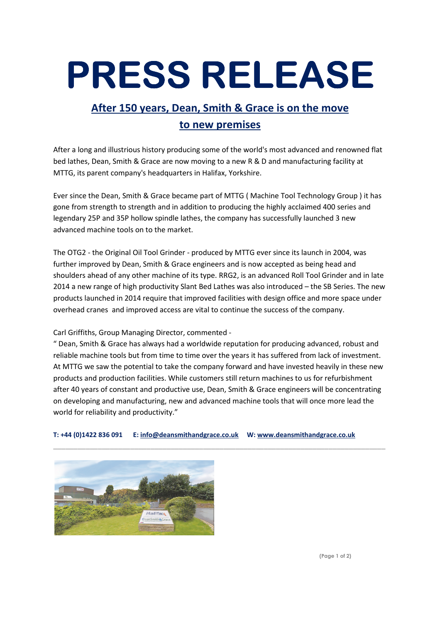## PRESS RELEASE

## After 150 years, Dean, Smith & Grace is on the move to new premises

After a long and illustrious history producing some of the world's most advanced and renowned flat bed lathes, Dean, Smith & Grace are now moving to a new R & D and manufacturing facility at MTTG, its parent company's headquarters in Halifax, Yorkshire.

Ever since the Dean, Smith & Grace became part of MTTG ( Machine Tool Technology Group ) it has gone from strength to strength and in addition to producing the highly acclaimed 400 series and legendary 25P and 35P hollow spindle lathes, the company has successfully launched 3 new advanced machine tools on to the market.

The OTG2 - the Original Oil Tool Grinder - produced by MTTG ever since its launch in 2004, was further improved by Dean, Smith & Grace engineers and is now accepted as being head and shoulders ahead of any other machine of its type. RRG2, is an advanced Roll Tool Grinder and in late 2014 a new range of high productivity Slant Bed Lathes was also introduced – the SB Series. The new products launched in 2014 require that improved facilities with design office and more space under overhead cranes and improved access are vital to continue the success of the company.

## Carl Griffiths, Group Managing Director, commented -

" Dean, Smith & Grace has always had a worldwide reputation for producing advanced, robust and reliable machine tools but from time to time over the years it has suffered from lack of investment. At MTTG we saw the potential to take the company forward and have invested heavily in these new products and production facilities. While customers still return machines to us for refurbishment after 40 years of constant and productive use, Dean, Smith & Grace engineers will be concentrating on developing and manufacturing, new and advanced machine tools that will once more lead the world for reliability and productivity."

\_\_\_\_\_\_\_\_\_\_\_\_\_\_\_\_\_\_\_\_\_\_\_\_\_\_\_\_\_\_\_\_\_\_\_\_\_\_\_\_\_\_\_\_\_\_\_\_\_\_\_\_\_\_\_\_\_\_\_\_\_\_\_\_\_\_\_\_\_\_\_\_\_\_\_\_\_\_\_\_\_\_

T: +44 (0)1422 836 091 E: info@deansmithandgrace.co.uk W: www.deansmithandgrace.co.uk



(Page 1 of 2)